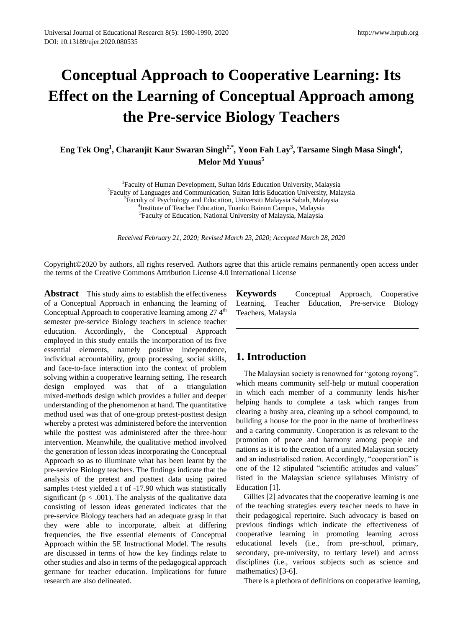# **Conceptual Approach to Cooperative Learning: Its Effect on the Learning of Conceptual Approach among the Pre-service Biology Teachers**

**Eng Tek Ong<sup>1</sup> , Charanjit Kaur Swaran Singh2,\*, Yoon Fah Lay<sup>3</sup> , Tarsame Singh Masa Singh<sup>4</sup> , Melor Md Yunus<sup>5</sup>**

> <sup>1</sup>Faculty of Human Development, Sultan Idris Education University, Malaysia <sup>2</sup> Faculty of Languages and Communication, Sultan Idris Education University, Malaysia <sup>3</sup>Faculty of Psychology and Education, Universiti Malaysia Sabah, Malaysia 4 Institute of Teacher Education, Tuanku Bainun Campus, Malaysia 5 Faculty of Education, National University of Malaysia, Malaysia

*Received February 21, 2020; Revised March 23, 2020; Accepted March 28, 2020*

Copyright©2020 by authors, all rights reserved. Authors agree that this article remains permanently open access under the terms of the Creative Commons Attribution License 4.0 International License

**Abstract** This study aims to establish the effectiveness of a Conceptual Approach in enhancing the learning of Conceptual Approach to cooperative learning among  $27.4<sup>th</sup>$ semester pre-service Biology teachers in science teacher education. Accordingly, the Conceptual Approach employed in this study entails the incorporation of its five essential elements, namely positive independence, individual accountability, group processing, social skills, and face-to-face interaction into the context of problem solving within a cooperative learning setting. The research design employed was that of a triangulation mixed-methods design which provides a fuller and deeper understanding of the phenomenon at hand. The quantitative method used was that of one-group pretest-posttest design whereby a pretest was administered before the intervention while the posttest was administered after the three-hour intervention. Meanwhile, the qualitative method involved the generation of lesson ideas incorporating the Conceptual Approach so as to illuminate what has been learnt by the pre-service Biology teachers. The findings indicate that the analysis of the pretest and posttest data using paired samples t-test yielded a t of -17.90 which was statistically significant ( $p < .001$ ). The analysis of the qualitative data consisting of lesson ideas generated indicates that the pre-service Biology teachers had an adequate grasp in that they were able to incorporate, albeit at differing frequencies, the five essential elements of Conceptual Approach within the 5E Instructional Model. The results are discussed in terms of how the key findings relate to other studies and also in terms of the pedagogical approach germane for teacher education. Implications for future research are also delineated.

**Keywords** Conceptual Approach, Cooperative Learning, Teacher Education, Pre-service Biology Teachers, Malaysia

### **1. Introduction**

The Malaysian society is renowned for "gotong royong", which means community self-help or mutual cooperation in which each member of a community lends his/her helping hands to complete a task which ranges from clearing a bushy area, cleaning up a school compound, to building a house for the poor in the name of brotherliness and a caring community. Cooperation is as relevant to the promotion of peace and harmony among people and nations as it is to the creation of a united Malaysian society and an industrialised nation. Accordingly, "cooperation" is one of the 12 stipulated "scientific attitudes and values" listed in the Malaysian science syllabuses Ministry of Education [1].

Gillies [2] advocates that the cooperative learning is one of the teaching strategies every teacher needs to have in their pedagogical repertoire. Such advocacy is based on previous findings which indicate the effectiveness of cooperative learning in promoting learning across educational levels (i.e., from pre-school, primary, secondary, pre-university, to tertiary level) and across disciplines (i.e., various subjects such as science and mathematics) [3-6].

There is a plethora of definitions on cooperative learning,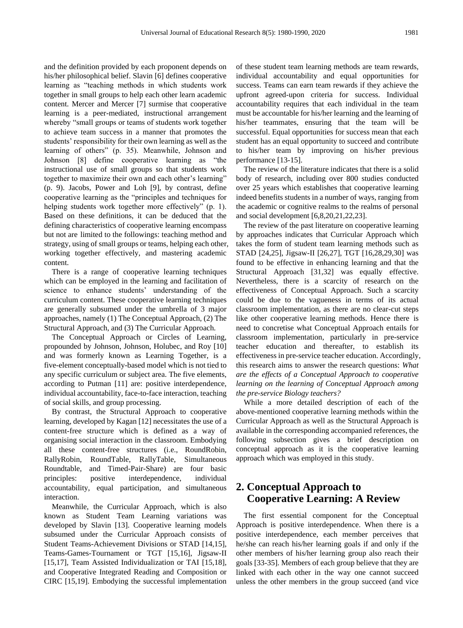and the definition provided by each proponent depends on his/her philosophical belief. Slavin [6] defines cooperative learning as "teaching methods in which students work together in small groups to help each other learn academic content. Mercer and Mercer [7] surmise that cooperative learning is a peer-mediated, instructional arrangement whereby "small groups or teams of students work together to achieve team success in a manner that promotes the students' responsibility for their own learning as well as the learning of others" (p. 35). Meanwhile, Johnson and Johnson [8] define cooperative learning as "the instructional use of small groups so that students work together to maximize their own and each other's learning" (p. 9). Jacobs, Power and Loh [9], by contrast, define cooperative learning as the "principles and techniques for helping students work together more effectively" (p. 1). Based on these definitions, it can be deduced that the defining characteristics of cooperative learning encompass but not are limited to the followings: teaching method and strategy, using of small groups or teams, helping each other, working together effectively, and mastering academic content.

There is a range of cooperative learning techniques which can be employed in the learning and facilitation of science to enhance students' understanding of the curriculum content. These cooperative learning techniques are generally subsumed under the umbrella of 3 major approaches, namely (1) The Conceptual Approach, (2) The Structural Approach, and (3) The Curricular Approach.

The Conceptual Approach or Circles of Learning, propounded by Johnson, Johnson, Holubec, and Roy [10] and was formerly known as Learning Together, is a five-element conceptually-based model which is not tied to any specific curriculum or subject area. The five elements, according to Putman [11] are: positive interdependence, individual accountability, face-to-face interaction, teaching of social skills, and group processing.

By contrast, the Structural Approach to cooperative learning, developed by Kagan [12] necessitates the use of a content-free structure which is defined as a way of organising social interaction in the classroom. Embodying all these content-free structures (i.e., RoundRobin, RallyRobin, RoundTable, RallyTable, Simultaneous Roundtable, and Timed-Pair-Share) are four basic principles: positive interdependence, individual accountability, equal participation, and simultaneous interaction.

Meanwhile, the Curricular Approach, which is also known as Student Team Learning variations was developed by Slavin [13]. Cooperative learning models subsumed under the Curricular Approach consists of Student Teams-Achievement Divisions or STAD [14,15], Teams-Games-Tournament or TGT [15,16], Jigsaw-II [15,17], Team Assisted Individualization or TAI [15,18], and Cooperative Integrated Reading and Composition or CIRC [15,19]. Embodying the successful implementation

of these student team learning methods are team rewards, individual accountability and equal opportunities for success. Teams can earn team rewards if they achieve the upfront agreed-upon criteria for success. Individual accountability requires that each individual in the team must be accountable for his/her learning and the learning of his/her teammates, ensuring that the team will be successful. Equal opportunities for success mean that each student has an equal opportunity to succeed and contribute to his/her team by improving on his/her previous performance [13-15].

The review of the literature indicates that there is a solid body of research, including over 800 studies conducted over 25 years which establishes that cooperative learning indeed benefits students in a number of ways, ranging from the academic or cognitive realms to the realms of personal and social development [6,8,20,21,22,23].

The review of the past literature on cooperative learning by approaches indicates that Curricular Approach which takes the form of student team learning methods such as STAD [24,25], Jigsaw-II [26,27], TGT [16,28,29,30] was found to be effective in enhancing learning and that the Structural Approach [31,32] was equally effective. Nevertheless, there is a scarcity of research on the effectiveness of Conceptual Approach. Such a scarcity could be due to the vagueness in terms of its actual classroom implementation, as there are no clear-cut steps like other cooperative learning methods. Hence there is need to concretise what Conceptual Approach entails for classroom implementation, particularly in pre-service teacher education and thereafter, to establish its effectiveness in pre-service teacher education. Accordingly, this research aims to answer the research questions: *What are the effects of a Conceptual Approach to cooperative learning on the learning of Conceptual Approach among the pre-service Biology teachers?* 

While a more detailed description of each of the above-mentioned cooperative learning methods within the Curricular Approach as well as the Structural Approach is available in the corresponding accompanied references, the following subsection gives a brief description on conceptual approach as it is the cooperative learning approach which was employed in this study.

# **2. Conceptual Approach to Cooperative Learning: A Review**

The first essential component for the Conceptual Approach is positive interdependence. When there is a positive interdependence, each member perceives that he/she can reach his/her learning goals if and only if the other members of his/her learning group also reach their goals [33-35]. Members of each group believe that they are linked with each other in the way one cannot succeed unless the other members in the group succeed (and vice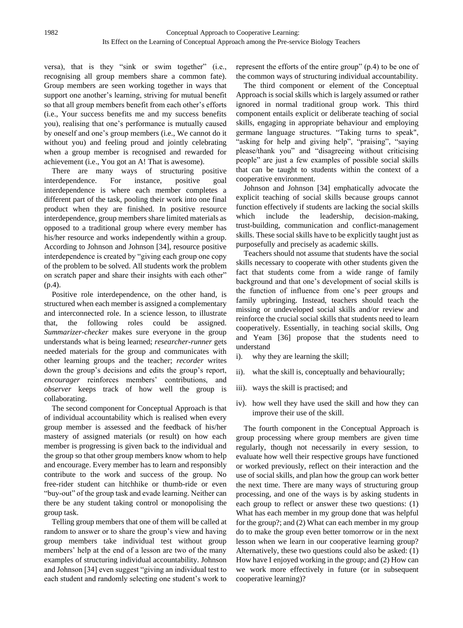versa), that is they "sink or swim together" (i.e., recognising all group members share a common fate). Group members are seen working together in ways that support one another's learning, striving for mutual benefit so that all group members benefit from each other's efforts (i.e., Your success benefits me and my success benefits you), realising that one's performance is mutually caused by oneself and one's group members (i.e., We cannot do it without you) and feeling proud and jointly celebrating when a group member is recognised and rewarded for achievement (i.e., You got an A! That is awesome).

There are many ways of structuring positive interdependence. For instance, positive goal interdependence is where each member completes a different part of the task, pooling their work into one final product when they are finished. In positive resource interdependence, group members share limited materials as opposed to a traditional group where every member has his/her resource and works independently within a group. According to Johnson and Johnson [34], resource positive interdependence is created by "giving each group one copy of the problem to be solved. All students work the problem on scratch paper and share their insights with each other" (p.4).

Positive role interdependence, on the other hand, is structured when each member is assigned a complementary and interconnected role. In a science lesson, to illustrate that, the following roles could be assigned. *Summarizer-checker* makes sure everyone in the group understands what is being learned; *researcher-runner* gets needed materials for the group and communicates with other learning groups and the teacher; *recorder* writes down the group's decisions and edits the group's report, *encourager* reinforces members' contributions, and *observer* keeps track of how well the group is collaborating.

The second component for Conceptual Approach is that of individual accountability which is realised when every group member is assessed and the feedback of his/her mastery of assigned materials (or result) on how each member is progressing is given back to the individual and the group so that other group members know whom to help and encourage. Every member has to learn and responsibly contribute to the work and success of the group. No free-rider student can hitchhike or thumb-ride or even "buy-out" of the group task and evade learning. Neither can there be any student taking control or monopolising the group task.

Telling group members that one of them will be called at random to answer or to share the group's view and having group members take individual test without group members' help at the end of a lesson are two of the many examples of structuring individual accountability. Johnson and Johnson [34] even suggest "giving an individual test to each student and randomly selecting one student's work to

represent the efforts of the entire group" (p.4) to be one of the common ways of structuring individual accountability.

The third component or element of the Conceptual Approach is social skills which is largely assumed or rather ignored in normal traditional group work. This third component entails explicit or deliberate teaching of social skills, engaging in appropriate behaviour and employing germane language structures. "Taking turns to speak", "asking for help and giving help", "praising", "saying please/thank you" and "disagreeing without criticising people" are just a few examples of possible social skills that can be taught to students within the context of a cooperative environment.

Johnson and Johnson [34] emphatically advocate the explicit teaching of social skills because groups cannot function effectively if students are lacking the social skills which include the leadership, decision-making, trust-building, communication and conflict-management skills. These social skills have to be explicitly taught just as purposefully and precisely as academic skills.

Teachers should not assume that students have the social skills necessary to cooperate with other students given the fact that students come from a wide range of family background and that one's development of social skills is the function of influence from one's peer groups and family upbringing. Instead, teachers should teach the missing or undeveloped social skills and/or review and reinforce the crucial social skills that students need to learn cooperatively. Essentially, in teaching social skills, Ong and Yeam [36] propose that the students need to understand

- i). why they are learning the skill;
- ii). what the skill is, conceptually and behaviourally;
- iii). ways the skill is practised; and
- iv). how well they have used the skill and how they can improve their use of the skill.

The fourth component in the Conceptual Approach is group processing where group members are given time regularly, though not necessarily in every session, to evaluate how well their respective groups have functioned or worked previously, reflect on their interaction and the use of social skills, and plan how the group can work better the next time. There are many ways of structuring group processing, and one of the ways is by asking students in each group to reflect or answer these two questions: (1) What has each member in my group done that was helpful for the group?; and (2) What can each member in my group do to make the group even better tomorrow or in the next lesson when we learn in our cooperative learning group? Alternatively, these two questions could also be asked: (1) How have I enjoyed working in the group; and (2) How can we work more effectively in future (or in subsequent cooperative learning)?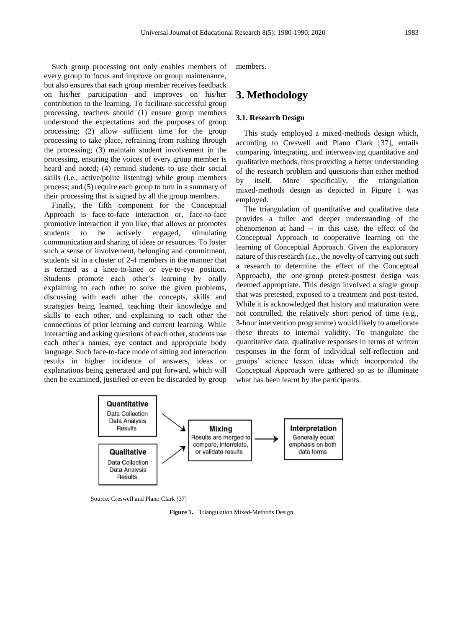Such group processing not only enables members of every group to focus and improve on group maintenance, but also ensures that each group member receives feedback on his/her participation and improves on his/her contribution to the learning. To facilitate successful group processing, teachers should (1) ensure group members understood the expectations and the purposes of group processing; (2) allow sufficient time for the group processing to take place, refraining from rushing through the processing; (3) maintain student involvement in the processing, ensuring the voices of every group member is heard and noted; (4) remind students to use their social skills (i.e., active/polite listening) while group members process; and (5) require each group to turn in a summary of their processing that is signed by all the group members.

Finally, the fifth component for the Conceptual Approach is face-to-face interaction or, face-to-face promotive interaction if you like, that allows or promotes students to be actively engaged, stimulating communication and sharing of ideas or resources. To foster such a sense of involvement, belonging and commitment, students sit in a cluster of 2-4 members in the manner that is termed as a knee-to-knee or eye-to-eye position. Students promote each other's learning by orally explaining to each other to solve the given problems, discussing with each other the concepts, skills and strategies being learned, teaching their knowledge and skills to each other, and explaining to each other the connections of prior learning and current learning. While interacting and asking questions of each other, students use each other's names, eye contact and appropriate body language. Such face-to-face mode of sitting and interaction results in higher incidence of answers, ideas or explanations being generated and put forward, which will then be examined, justified or even be discarded by group members.

## **3. Methodology**

#### **3.1. Research Design**

This study employed a mixed-methods design which, according to Creswell and Plano Clark [37], entails comparing, integrating, and interweaving quantitative and qualitative methods, thus providing a better understanding of the research problem and questions than either method by itself. More specifically, the triangulation mixed-methods design as depicted in Figure 1 was employed.

The triangulation of quantitative and qualitative data provides a fuller and deeper understanding of the phenomenon at hand -- in this case, the effect of the Conceptual Approach to cooperative learning on the learning of Conceptual Approach. Given the exploratory nature of this research (i.e., the novelty of carrying out such a research to determine the effect of the Conceptual Approach), the one-group pretest-posttest design was deemed appropriate. This design involved a single group that was pretested, exposed to a treatment and post-tested. While it is acknowledged that history and maturation were not controlled, the relatively short period of time (e.g., 3-hour intervention programme) would likely to ameliorate these threats to internal validity. To triangulate the quantitative data, qualitative responses in terms of written responses in the form of individual self-reflection and groups' science lesson ideas which incorporated the Conceptual Approach were gathered so as to illuminate what has been learnt by the participants.



Source: Creswell and Plano Clark [37]

**Figure 1.** Triangulation Mixed-Methods Design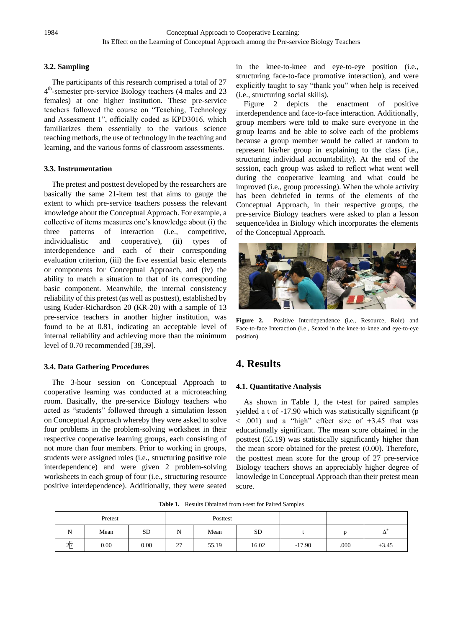### **3.2. Sampling**

The participants of this research comprised a total of 27 4<sup>th</sup>-semester pre-service Biology teachers (4 males and 23 females) at one higher institution. These pre-service teachers followed the course on "Teaching, Technology and Assessment 1", officially coded as KPD3016, which familiarizes them essentially to the various science teaching methods, the use of technology in the teaching and learning, and the various forms of classroom assessments.

### **3.3. Instrumentation**

The pretest and posttest developed by the researchers are basically the same 21-item test that aims to gauge the extent to which pre-service teachers possess the relevant knowledge about the Conceptual Approach. For example, a collective of items measures one's knowledge about (i) the three patterns of interaction (i.e., competitive, individualistic and cooperative), (ii) types of interdependence and each of their corresponding evaluation criterion, (iii) the five essential basic elements or components for Conceptual Approach, and (iv) the ability to match a situation to that of its corresponding basic component. Meanwhile, the internal consistency reliability of this pretest (as well as posttest), established by using Kuder-Richardson 20 (KR-20) with a sample of 13 pre-service teachers in another higher institution, was found to be at 0.81, indicating an acceptable level of internal reliability and achieving more than the minimum level of 0.70 recommended [38,39].

### **3.4. Data Gathering Procedures**

The 3-hour session on Conceptual Approach to cooperative learning was conducted at a microteaching room. Basically, the pre-service Biology teachers who acted as "students" followed through a simulation lesson on Conceptual Approach whereby they were asked to solve four problems in the problem-solving worksheet in their respective cooperative learning groups, each consisting of not more than four members. Prior to working in groups, students were assigned roles (i.e., structuring positive role interdependence) and were given 2 problem-solving worksheets in each group of four (i.e., structuring resource positive interdependence). Additionally, they were seated

in the knee-to-knee and eye-to-eye position (i.e., structuring face-to-face promotive interaction), and were explicitly taught to say "thank you" when help is received (i.e., structuring social skills).

Figure 2 depicts the enactment of positive interdependence and face-to-face interaction. Additionally, group members were told to make sure everyone in the group learns and be able to solve each of the problems because a group member would be called at random to represent his/her group in explaining to the class (i.e., structuring individual accountability). At the end of the session, each group was asked to reflect what went well during the cooperative learning and what could be improved (i.e., group processing). When the whole activity has been debriefed in terms of the elements of the Conceptual Approach, in their respective groups, the pre-service Biology teachers were asked to plan a lesson sequence/idea in Biology which incorporates the elements of the Conceptual Approach.



**Figure 2.** Positive Interdependence (i.e., Resource, Role) and Face-to-face Interaction (i.e., Seated in the knee-to-knee and eye-to-eye position)

# **4. Results**

### **4.1. Quantitative Analysis**

As shown in Table 1, the t-test for paired samples yielded a t of -17.90 which was statistically significant (p  $<$  .001) and a "high" effect size of  $+3.45$  that was educationally significant. The mean score obtained in the posttest (55.19) was statistically significantly higher than the mean score obtained for the pretest (0.00). Therefore, the posttest mean score for the group of 27 pre-service Biology teachers shows an appreciably higher degree of knowledge in Conceptual Approach than their pretest mean score.

**Table 1.** Results Obtained from t-test for Paired Samples

| Pretest              |      |           | Posttest |       |           |          |      |            |
|----------------------|------|-----------|----------|-------|-----------|----------|------|------------|
| N                    | Mean | <b>SD</b> | N        | Mean  | <b>SD</b> |          |      | $\Delta^*$ |
| $\blacksquare$<br>27 | 0.00 | 0.00      | 27       | 55.19 | 16.02     | $-17.90$ | .000 | $+3.45$    |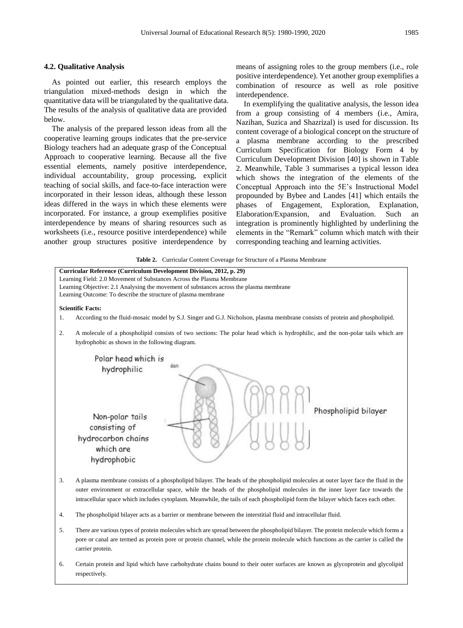#### **4.2. Qualitative Analysis**

As pointed out earlier, this research employs the triangulation mixed-methods design in which the quantitative data will be triangulated by the qualitative data. The results of the analysis of qualitative data are provided below.

The analysis of the prepared lesson ideas from all the cooperative learning groups indicates that the pre-service Biology teachers had an adequate grasp of the Conceptual Approach to cooperative learning. Because all the five essential elements, namely positive interdependence, individual accountability, group processing, explicit teaching of social skills, and face-to-face interaction were incorporated in their lesson ideas, although these lesson ideas differed in the ways in which these elements were incorporated. For instance, a group exemplifies positive interdependence by means of sharing resources such as worksheets (i.e., resource positive interdependence) while another group structures positive interdependence by

means of assigning roles to the group members (i.e., role positive interdependence). Yet another group exemplifies a combination of resource as well as role positive interdependence.

In exemplifying the qualitative analysis, the lesson idea from a group consisting of 4 members (i.e., Amira, Nazihan, Suzica and Shazrizal) is used for discussion. Its content coverage of a biological concept on the structure of a plasma membrane according to the prescribed Curriculum Specification for Biology Form 4 by Curriculum Development Division [40] is shown in Table 2. Meanwhile, Table 3 summarises a typical lesson idea which shows the integration of the elements of the Conceptual Approach into the 5E's Instructional Model propounded by Bybee and Landes [41] which entails the phases of Engagement, Exploration, Explanation, Elaboration/Expansion, and Evaluation. Such an integration is prominently highlighted by underlining the elements in the "Remark" column which match with their corresponding teaching and learning activities.

**Table 2.** Curricular Content Coverage for Structure of a Plasma Membrane



6. Certain protein and lipid which have carbohydrate chains bound to their outer surfaces are known as glycoprotein and glycolipid respectively.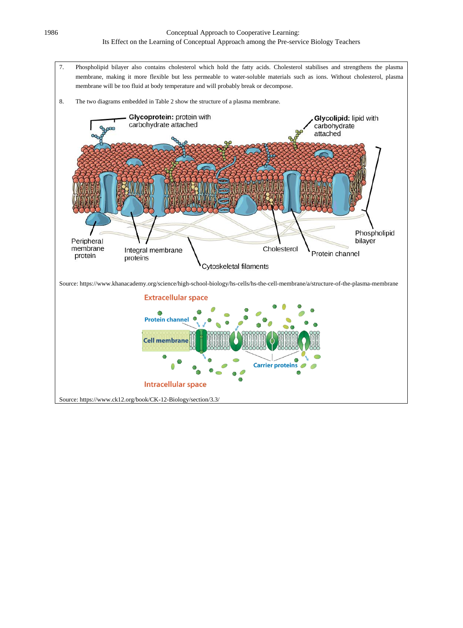7. Phospholipid bilayer also contains cholesterol which hold the fatty acids. Cholesterol stabilises and strengthens the plasma membrane, making it more flexible but less permeable to water-soluble materials such as ions. Without cholesterol, plasma membrane will be too fluid at body temperature and will probably break or decompose.

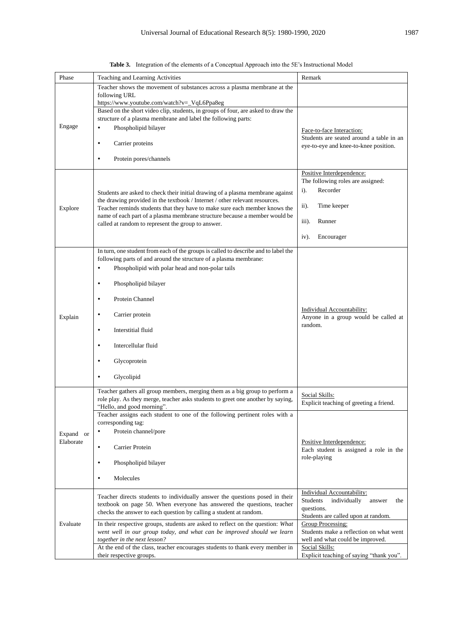| Phase                  | Teaching and Learning Activities                                                                                                                                                                                                                                                                                                                                                | Remark                                                                                                                              |  |  |
|------------------------|---------------------------------------------------------------------------------------------------------------------------------------------------------------------------------------------------------------------------------------------------------------------------------------------------------------------------------------------------------------------------------|-------------------------------------------------------------------------------------------------------------------------------------|--|--|
|                        | Teacher shows the movement of substances across a plasma membrane at the<br>following URL<br>https://www.youtube.com/watch?v=_VqL6Ppa8eg                                                                                                                                                                                                                                        |                                                                                                                                     |  |  |
| Engage                 | Based on the short video clip, students, in groups of four, are asked to draw the<br>structure of a plasma membrane and label the following parts:<br>Phospholipid bilayer<br>٠                                                                                                                                                                                                 | Face-to-face Interaction:<br>Students are seated around a table in an<br>eye-to-eye and knee-to-knee position.                      |  |  |
|                        | Carrier proteins                                                                                                                                                                                                                                                                                                                                                                |                                                                                                                                     |  |  |
|                        | Protein pores/channels<br>٠                                                                                                                                                                                                                                                                                                                                                     |                                                                                                                                     |  |  |
| Explore                | Students are asked to check their initial drawing of a plasma membrane against<br>the drawing provided in the textbook / Internet / other relevant resources.<br>Teacher reminds students that they have to make sure each member knows the<br>name of each part of a plasma membrane structure because a member would be<br>called at random to represent the group to answer. | Positive Interdependence:<br>The following roles are assigned:<br>Recorder<br>$i$ ).<br>ii).<br>Time keeper<br>Runner<br>iii).      |  |  |
|                        |                                                                                                                                                                                                                                                                                                                                                                                 | Encourager<br>$iv)$ .                                                                                                               |  |  |
|                        | In turn, one student from each of the groups is called to describe and to label the<br>following parts of and around the structure of a plasma membrane:<br>Phospholipid with polar head and non-polar tails<br>٠                                                                                                                                                               |                                                                                                                                     |  |  |
|                        | Phospholipid bilayer<br>٠                                                                                                                                                                                                                                                                                                                                                       |                                                                                                                                     |  |  |
|                        | Protein Channel<br>٠                                                                                                                                                                                                                                                                                                                                                            | Individual Accountability:<br>Anyone in a group would be called at<br>random.                                                       |  |  |
| Explain                | Carrier protein                                                                                                                                                                                                                                                                                                                                                                 |                                                                                                                                     |  |  |
|                        | Interstitial fluid<br>٠                                                                                                                                                                                                                                                                                                                                                         |                                                                                                                                     |  |  |
|                        | Intercellular fluid<br>٠                                                                                                                                                                                                                                                                                                                                                        |                                                                                                                                     |  |  |
|                        | Glycoprotein                                                                                                                                                                                                                                                                                                                                                                    |                                                                                                                                     |  |  |
|                        | Glycolipid                                                                                                                                                                                                                                                                                                                                                                      |                                                                                                                                     |  |  |
|                        | Teacher gathers all group members, merging them as a big group to perform a<br>role play. As they merge, teacher asks students to greet one another by saying,<br>"Hello, and good morning".                                                                                                                                                                                    | Social Skills:<br>Explicit teaching of greeting a friend.                                                                           |  |  |
|                        | Teacher assigns each student to one of the following pertinent roles with a<br>corresponding tag:<br>Protein channel/pore<br>٠                                                                                                                                                                                                                                                  |                                                                                                                                     |  |  |
| Expand or<br>Elaborate | Carrier Protein<br>$\bullet$                                                                                                                                                                                                                                                                                                                                                    | Positive Interdependence:<br>Each student is assigned a role in the                                                                 |  |  |
|                        | Phospholipid bilayer<br>٠                                                                                                                                                                                                                                                                                                                                                       | role-playing                                                                                                                        |  |  |
|                        | Molecules<br>٠                                                                                                                                                                                                                                                                                                                                                                  |                                                                                                                                     |  |  |
| Evaluate               | Teacher directs students to individually answer the questions posed in their<br>textbook on page 50. When everyone has answered the questions, teacher<br>checks the answer to each question by calling a student at random.                                                                                                                                                    | <b>Individual Accountability:</b><br>Students<br>individually<br>answer<br>the<br>questions.<br>Students are called upon at random. |  |  |
|                        | In their respective groups, students are asked to reflect on the question: What<br>went well in our group today, and what can be improved should we learn<br>together in the next lesson?                                                                                                                                                                                       | Group Processing:<br>Students make a reflection on what went<br>well and what could be improved.                                    |  |  |
|                        | At the end of the class, teacher encourages students to thank every member in<br>their respective groups.                                                                                                                                                                                                                                                                       | Social Skills:<br>Explicit teaching of saying "thank you".                                                                          |  |  |

**Table 3.** Integration of the elements of a Conceptual Approach into the 5E's Instructional Model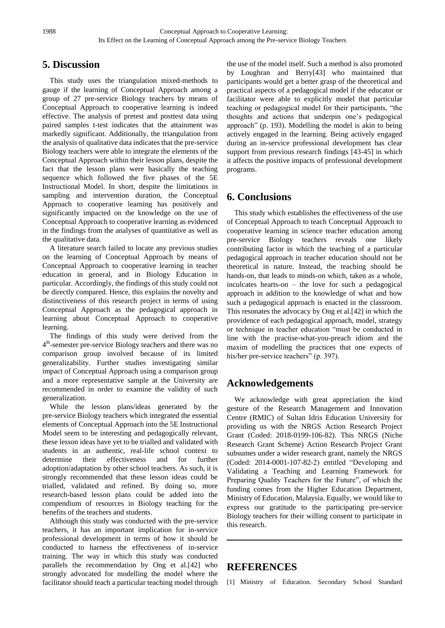# **5. Discussion**

This study uses the triangulation mixed-methods to gauge if the learning of Conceptual Approach among a group of 27 pre-service Biology teachers by means of Conceptual Approach to cooperative learning is indeed effective. The analysis of pretest and posttest data using paired samples t-test indicates that the attainment was markedly significant. Additionally, the triangulation from the analysis of qualitative data indicates that the pre-service Biology teachers were able to integrate the elements of the Conceptual Approach within their lesson plans, despite the fact that the lesson plans were basically the teaching sequence which followed the five phases of the 5E Instructional Model. In short, despite the limitations in sampling and intervention duration, the Conceptual Approach to cooperative learning has positively and significantly impacted on the knowledge on the use of Conceptual Approach to cooperative learning as evidenced in the findings from the analyses of quantitative as well as the qualitative data.

A literature search failed to locate any previous studies on the learning of Conceptual Approach by means of Conceptual Approach to cooperative learning in teacher education in general, and in Biology Education in particular. Accordingly, the findings of this study could not be directly compared. Hence, this explains the novelty and distinctiveness of this research project in terms of using Conceptual Approach as the pedagogical approach in learning about Conceptual Approach to cooperative learning.

The findings of this study were derived from the 4<sup>th</sup>-semester pre-service Biology teachers and there was no comparison group involved because of its limited generalizability. Further studies investigating similar impact of Conceptual Approach using a comparison group and a more representative sample at the University are recommended in order to examine the validity of such generalization.

While the lesson plans/ideas generated by the pre-service Biology teachers which integrated the essential elements of Conceptual Approach into the 5E Instructional Model seem to be interesting and pedagogically relevant, these lesson ideas have yet to be trialled and validated with students in an authentic, real-life school context to determine their effectiveness and for further adoption/adaptation by other school teachers. As such, it is strongly recommended that these lesson ideas could be trialled, validated and refined. By doing so, more research-based lesson plans could be added into the compendium of resources in Biology teaching for the benefits of the teachers and students.

Although this study was conducted with the pre-service teachers, it has an important implication for in-service professional development in terms of how it should be conducted to harness the effectiveness of in-service training. The way in which this study was conducted parallels the recommendation by Ong et al.[42] who strongly advocated for modelling the model where the facilitator should teach a particular teaching model through

the use of the model itself. Such a method is also promoted by Loughran and Berry[43] who maintained that participants would get a better grasp of the theoretical and practical aspects of a pedagogical model if the educator or facilitator were able to explicitly model that particular teaching or pedagogical model for their participants, "the thoughts and actions that underpin one's pedagogical approach" (p. 193). Modelling the model is akin to being actively engaged in the learning. Being actively engaged during an in-service professional development has clear support from previous research findings [43-45] in which it affects the positive impacts of professional development programs.

# **6. Conclusions**

This study which establishes the effectiveness of the use of Conceptual Approach to teach Conceptual Approach to cooperative learning in science teacher education among pre-service Biology teachers reveals one likely contributing factor in which the teaching of a particular pedagogical approach in teacher education should not be theoretical in nature. Instead, the teaching should be hands-on, that leads to minds-on which, taken as a whole, inculcates hearts-on – the love for such a pedagogical approach in addition to the knowledge of what and how such a pedagogical approach is enacted in the classroom. This resonates the advocacy by Ong et al.[42] in which the providence of each pedagogical approach, model, strategy or technique in teacher education "must be conducted in line with the practise-what-you-preach idiom and the maxim of modelling the practices that one expects of his/her pre-service teachers" (p. 397).

# **Acknowledgements**

We acknowledge with great appreciation the kind gesture of the Research Management and Innovation Centre (RMIC) of Sultan Idris Education University for providing us with the NRGS Action Research Project Grant (Coded: 2018-0199-106-82). This NRGS (Niche Research Grant Scheme) Action Research Project Grant subsumes under a wider research grant, namely the NRGS (Coded: 2014-0001-107-82-2) entitled "Developing and Validating a Teaching and Learning Framework for Preparing Quality Teachers for the Future", of which the funding comes from the Higher Education Department, Ministry of Education, Malaysia. Equally, we would like to express our gratitude to the participating pre-service Biology teachers for their willing consent to participate in this research.

## **REFERENCES**

[1] Ministry of Education. Secondary School Standard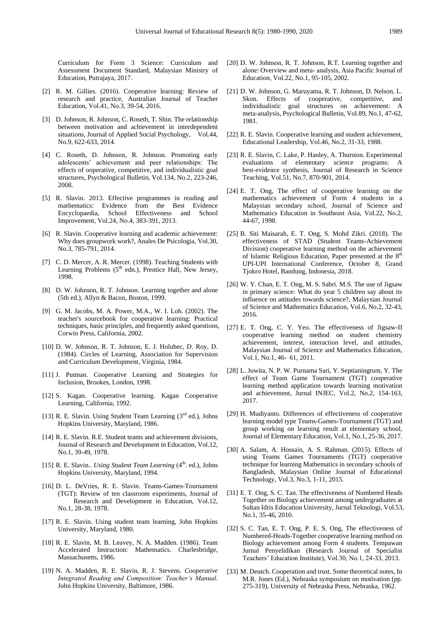Curriculum for Form 3 Science: Curriculum and Assessment Document Standard, Malaysian Ministry of Education, Putrajaya, 2017.

- [2] R. M. Gillies. (2016). Cooperative learning: Review of research and practice, Australian Journal of Teacher Education, Vol.41, No.3, 39-54, 2016.
- [3] D. Johnson, R. Johnson, C. Roseth, T. Shin. The relationship between motivation and achievement in interdependent situations, Journal of Applied Social Psychology, Vol.44, No.9, 622-633, 2014.
- [4] C. Roseth, D. Johnson, R. Johnson. Promoting early adolescents' achievement and peer relationships: The effects of ooperative, competitive, and individualistic goal structures, Psychological Bulletin, Vol.134, No.2*,* 223-246, 2008.
- [5] R. Slavin. 2013. Effective programmes in reading and mathematics: Evidence from the Best Evidence Encyclopaedia, School Effectiveness and School Improvement, Vol.24, No.4, 383-391, 2013.
- [6] R. Slavin. Cooperative learning and academic achievement: Why does groupwork work?, Anales De Psicologia*,* Vol.30, No.3, 785-791, 2014.
- [7] C. D. Mercer, A. R. Mercer. (1998). Teaching Students with Learning Problems  $(5<sup>th</sup>$  edn.), Prentice Hall, New Jersey, 1998.
- [8] D. W. Johnson, R. T. Johnson. Learning together and alone (5th ed.), Allyn & Bacon, Boston, 1999.
- [9] G. M. Jacobs, M. A. Power, M.A., W. I. Loh. (2002). The teacher's sourcebook for cooperative learning: Practical techniques, basic principles, and frequently asked questions, Corwin Press, California, 2002.
- [10] D. W. Johnson, R. T. Johnson, E. J. Holubec, D. Roy, D. (1984). Circles of Learning, Association for Supervision and Curriculum Development, Virginia, 1984.
- [11] J. Putman. Cooperative Learning and Strategies for Inclusion, Brookes, London, 1998.
- [12] S. Kagan. Cooperative learning. Kagan Cooperative Learning, California, 1992.
- [13] R. E. Slavin. Using Student Team Learning  $(3<sup>rd</sup>$  ed.), Johns Hopkins University, Maryland, 1986.
- [14] R. E. Slavin. R.E. Student teams and achievement divisions, Journal of Research and Development in Education, Vol.12, No.1, 39-49, 1978.
- [15] R. E. Slavin.. *Using Student Team Learning* (4<sup>th</sup>. ed.), Johns Hopkins University, Maryland, 1994.
- [16] D. L. DeVries, R. E. Slavin. Teams-Games-Tournament (TGT): Review of ten classroom experiments, Journal of Research and Development in Education, Vol.12, No.1, 28-38, 1978.
- [17] R. E. Slavin. Using student team learning, John Hopkins University, Maryland, 1980.
- [18] R. E. Slavin, M. B. Leavey, N. A. Madden. (1986). Team Accelerated Instruction: Mathematics. Charlesbridge, Massachusetts, 1986.
- [19] N. A. Madden, R. E. Slavin, R. J. Stevens. *Cooperative Integrated Reading and Composition: Teacher's Manual*. John Hopkins University, Baltimore, 1986.
- [20] D. W. Johnson, R. T. Johnson, R.T. Learning together and alone: Overview and meta- analysis, Asia Pacific Journal of Education, Vol.22, No.1, 95-105, 2002.
- [21] D. W. Johnson, G. Maruyama, R. T. Johnson, D. Nelson, L. Skon. Effects of cooperative, competitive, and individualistic goal structures on achievement: A meta-analysis, Psychological Bulletin, Vol.89, No.1, 47-62, 1981.
- [22] R. E. Slavin. Cooperative learning and student achievement, Educational Leadership, Vol.46, No.2, 31-33, 1988.
- [23] R. E. Slavin, C. Lake, P. Hanley, A. Thurston. Experimental evaluations of elementary science programs: A best-evidence synthesis, Journal of Research in Science Teaching, Vol.51, No.7, 870-901, 2014.
- [24] E. T. Ong, The effect of cooperative learning on the mathematics achievement of Form 4 students in a Malaysian secondary school, Journal of Science and Mathematics Education in Southeast Asia, Vol.22, No.2, 44-67, 1998.
- [25] B. Siti Maisarah, E. T. Ong, S. Mohd Zikri. (2018). The effectiveness of STAD (Student Teams-Achievement Division) cooperative learning method on the achievement of Islamic Religious Education, Paper presented at the 8<sup>th</sup> UPI-UPI International Conference, October 8, Grand Tjokro Hotel, Bandung, Indonesia, 2018.
- [26] W. Y. Chan, E. T. Ong, M. S. Sabri. M.S. The use of Jigsaw in primary science: What do year 5 children say about its influence on attitudes towards science?, Malaysian Journal of Science and Mathematics Education, Vol.6, No.2, 32-43, 2016.
- [27] E. T. Ong, C. Y. Yeo. The effectiveness of Jigsaw-II cooperative learning method on student chemistry achievement, interest, interaction level, and attitudes, Malaysian Journal of Science and Mathematics Education, Vol.1, No.1, 46- 61, 2011.
- [28] L. Juwita, N. P. W. Purnama Sari, Y. Septianingrum, Y. The effect of Team Game Tournament (TGT) cooperative learning method application towards learning motivation and achievement, Jurnal INJEC, Vol.2, No.2, 154-163, 2017.
- [29] H. Mudiyanto. Differences of effectiveness of cooperative learning model type Teams-Games-Tournament (TGT) and group working on learning result at elementary school, Journal of Elementary Education, Vol.1, No.1, 25-36, 2017.
- [30] A. Salam, A. Hossain, A. S. Rahman. (2015). Effects of using Teams Games Tournaments (TGT) cooperative technique for learning Mathematics in secondary schools of Bangladesh, Malaysian Online Journal of Educational Technology, Vol.3, No.3, 1-11, 2015.
- [31] E. T. Ong, S. C. Tan. The effectiveness of Numbered Heads Together on Biology achievement among undergraduates at Sultan Idris Education University, Jurnal Teknologi, Vol.53, No.1, 35-46, 2010.
- [32] S. C. Tan, E. T. Ong, P. E. S. Ong, The effectiveness of Numbered-Heads-Together cooperative learning method on Biology achievement among Form 4 students. Tempawan Jurnal Penyelidikan (Research Journal of Specialist Teachers' Education Institute), Vol.30, No.1, 24-33, 2013.
- [33] M. Deutch. Cooperation and trust. Some theoretical notes, In M.R. Jones (Ed.), Nebraska symposium on motivation (pp. 275-319), University of Nebraska Press, Nebraska, 1962.